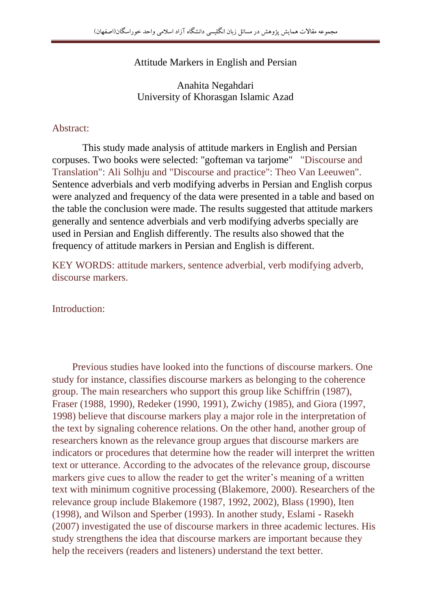Attitude Markers in English and Persian

Anahita Negahdari University of Khorasgan Islamic Azad

## Abstract:

 This study made analysis of attitude markers in English and Persian corpuses. Two books were selected: "gofteman va tarjome" "Discourse and Translation": Ali Solhju and "Discourse and practice": Theo Van Leeuwen". Sentence adverbials and verb modifying adverbs in Persian and English corpus were analyzed and frequency of the data were presented in a table and based on the table the conclusion were made. The results suggested that attitude markers generally and sentence adverbials and verb modifying adverbs specially are used in Persian and English differently. The results also showed that the frequency of attitude markers in Persian and English is different.

KEY WORDS: attitude markers, sentence adverbial, verb modifying adverb, discourse markers.

Introduction:

 Previous studies have looked into the functions of discourse markers. One study for instance, classifies discourse markers as belonging to the coherence group. The main researchers who support this group like Schiffrin (1987), Fraser (1988, 1990), Redeker (1990, 1991), Zwichy (1985), and Giora (1997, 1998) believe that discourse markers play a major role in the interpretation of the text by signaling coherence relations. On the other hand, another group of researchers known as the relevance group argues that discourse markers are indicators or procedures that determine how the reader will interpret the written text or utterance. According to the advocates of the relevance group, discourse markers give cues to allow the reader to get the writer's meaning of a written text with minimum cognitive processing (Blakemore, 2000). Researchers of the relevance group include Blakemore (1987, 1992, 2002), Blass (1990), Iten (1998), and Wilson and Sperber (1993). In another study, Eslami - Rasekh (2007) investigated the use of discourse markers in three academic lectures. His study strengthens the idea that discourse markers are important because they help the receivers (readers and listeners) understand the text better.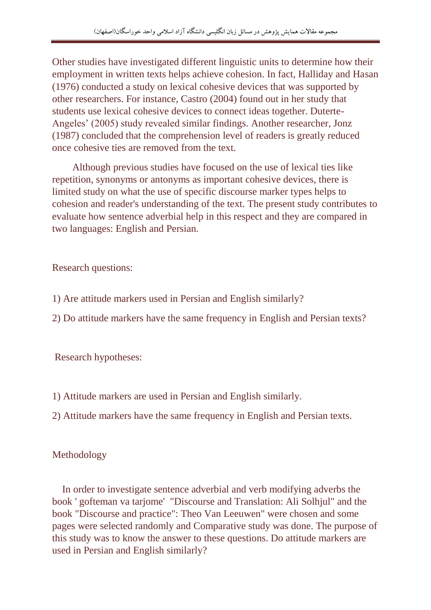Other studies have investigated different linguistic units to determine how their employment in written texts helps achieve cohesion. In fact, Halliday and Hasan (1976) conducted a study on lexical cohesive devices that was supported by other researchers. For instance, Castro (2004) found out in her study that students use lexical cohesive devices to connect ideas together. Duterte-Angeles' (2005) study revealed similar findings. Another researcher, Jonz (1987) concluded that the comprehension level of readers is greatly reduced once cohesive ties are removed from the text.

 Although previous studies have focused on the use of lexical ties like repetition, synonyms or antonyms as important cohesive devices, there is limited study on what the use of specific discourse marker types helps to cohesion and reader's understanding of the text. The present study contributes to evaluate how sentence adverbial help in this respect and they are compared in two languages: English and Persian.

Research questions:

- 1) Are attitude markers used in Persian and English similarly?
- 2) Do attitude markers have the same frequency in English and Persian texts?

Research hypotheses:

- 1) Attitude markers are used in Persian and English similarly.
- 2) Attitude markers have the same frequency in English and Persian texts.

Methodology

 In order to investigate sentence adverbial and verb modifying adverbs the book ' gofteman va tarjome' "Discourse and Translation: Ali Solhjul" and the book "Discourse and practice": Theo Van Leeuwen" were chosen and some pages were selected randomly and Comparative study was done. The purpose of this study was to know the answer to these questions. Do attitude markers are used in Persian and English similarly?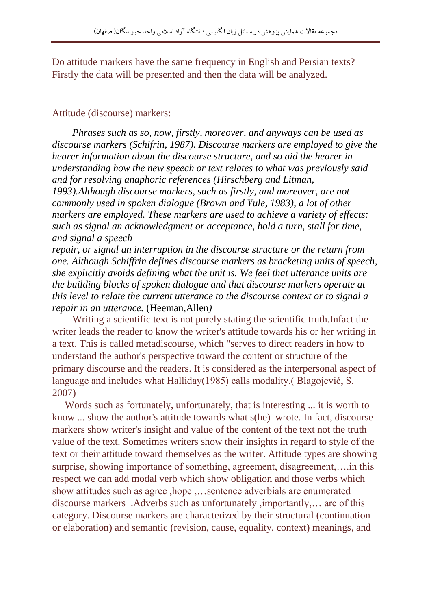Do attitude markers have the same frequency in English and Persian texts? Firstly the data will be presented and then the data will be analyzed.

## Attitude (discourse) markers:

 *Phrases such as so, now, firstly, moreover, and anyways can be used as discourse markers (Schifrin, 1987). Discourse markers are employed to give the hearer information about the discourse structure, and so aid the hearer in understanding how the new speech or text relates to what was previously said and for resolving anaphoric references (Hirschberg and Litman, 1993).Although discourse markers, such as firstly, and moreover, are not commonly used in spoken dialogue (Brown and Yule, 1983), a lot of other markers are employed. These markers are used to achieve a variety of effects: such as signal an acknowledgment or acceptance, hold a turn, stall for time, and signal a speech*

*repair, or signal an interruption in the discourse structure or the return from one. Although Schiffrin defines discourse markers as bracketing units of speech, she explicitly avoids defining what the unit is. We feel that utterance units are the building blocks of spoken dialogue and that discourse markers operate at this level to relate the current utterance to the discourse context or to signal a repair in an utterance.* (Heeman,Allen*)*

 Writing a scientific text is not purely stating the scientific truth.Infact the writer leads the reader to know the writer's attitude towards his or her writing in a text. This is called metadiscourse, which "serves to direct readers in how to understand the author's perspective toward the content or structure of the primary discourse and the readers. It is considered as the interpersonal aspect of language and includes what Halliday(1985) calls modality.( Blagojević, S. 2007)

 Words such as fortunately, unfortunately, that is interesting ... it is worth to know ... show the author's attitude towards what s(he) wrote. In fact, discourse markers show writer's insight and value of the content of the text not the truth value of the text. Sometimes writers show their insights in regard to style of the text or their attitude toward themselves as the writer. Attitude types are showing surprise, showing importance of something, agreement, disagreement,….in this respect we can add modal verb which show obligation and those verbs which show attitudes such as agree ,hope ,…sentence adverbials are enumerated discourse markers .Adverbs such as unfortunately ,importantly,… are of this category. Discourse markers are characterized by their structural (continuation or elaboration) and semantic (revision, cause, equality, context) meanings, and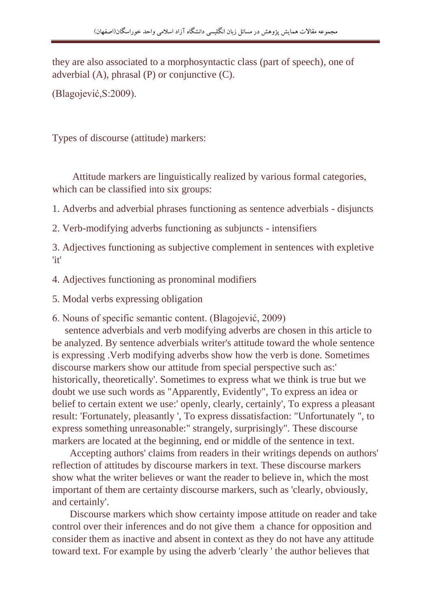they are also associated to a morphosyntactic class (part of speech), one of adverbial (A), phrasal (P) or conjunctive (C).

(Blagojević,S:2009).

Types of discourse (attitude) markers:

 Attitude markers are linguistically realized by various formal categories, which can be classified into six groups:

1. Adverbs and adverbial phrases functioning as sentence adverbials - disjuncts

2. Verb-modifying adverbs functioning as subjuncts - intensifiers

3. Adjectives functioning as subjective complement in sentences with expletive 'it'

4. Adjectives functioning as pronominal modifiers

5. Modal verbs expressing obligation

6. Nouns of specific semantic content. (Blagojević, 2009)

 sentence adverbials and verb modifying adverbs are chosen in this article to be analyzed. By sentence adverbials writer's attitude toward the whole sentence is expressing .Verb modifying adverbs show how the verb is done. Sometimes discourse markers show our attitude from special perspective such as:' historically, theoretically'. Sometimes to express what we think is true but we doubt we use such words as "Apparently, Evidently", To express an idea or belief to certain extent we use:' openly, clearly, certainly', To express a pleasant result: 'Fortunately, pleasantly ', To express dissatisfaction: "Unfortunately ", to express something unreasonable:" strangely, surprisingly". These discourse markers are located at the beginning, end or middle of the sentence in text.

 Accepting authors' claims from readers in their writings depends on authors' reflection of attitudes by discourse markers in text. These discourse markers show what the writer believes or want the reader to believe in, which the most important of them are certainty discourse markers, such as 'clearly, obviously, and certainly'.

 Discourse markers which show certainty impose attitude on reader and take control over their inferences and do not give them a chance for opposition and consider them as inactive and absent in context as they do not have any attitude toward text. For example by using the adverb 'clearly ' the author believes that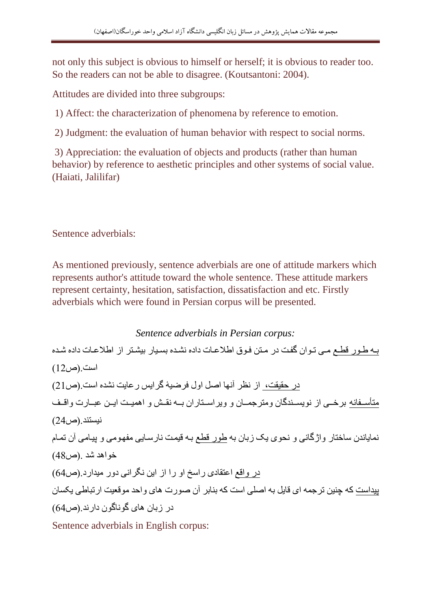not only this subject is obvious to himself or herself; it is obvious to reader too. So the readers can not be able to disagree. (Koutsantoni: 2004).

Attitudes are divided into three subgroups:

1) Affect: the characterization of phenomena by reference to emotion.

2) Judgment: the evaluation of human behavior with respect to social norms.

3) Appreciation: the evaluation of objects and products (rather than human behavior) by reference to aesthetic principles and other systems of social value. (Haiati, Jalilifar)

Sentence adverbials:

As mentioned previously, sentence adverbials are one of attitude markers which represents author's attitude toward the whole sentence. These attitude markers represent certainty, hesitation, satisfaction, dissatisfaction and etc. Firstly adverbials which were found in Persian corpus will be presented.

*Sentence adverbials in Persian corpus:* یط یىف ی میت ایىفت دریت ف میطال ایىا ف نشی ب ف یشی ایع ف عشیطد ف ف نشیی ب ف ی فست.)ص21( ف حقعقت، ف یظد آیه فصل فول ادضعۀ ددفیس فش یت یش فست.)ص12( مطأسیییر یط دخیییت ف یىیایییو د ت ومطد وییی ت و ویدفسیییط ففت یییط یقیییت و ففوعیییت فییییال ش ییی فب وف ییی یعاطو .)ص12( یو ی ی ت س خط ف وفژد یت و یحىی یک ت ط ىف یط عویت ی فسی یت مرهیىمت و یعی مت آت اوی خىفف .)ص24( ف وف فشطق ی ففسخ فو فف ف فیال یگدفیت وف مع فف .)ص42( یع فست کط چوعال اد وط فی یل ط فصلت فست کط و د آت صىفب ف ی وفح مى ععت ففا ت یکا ت ف ت ف ی دىی دىت ففی .)ص42(

Sentence adverbials in English corpus: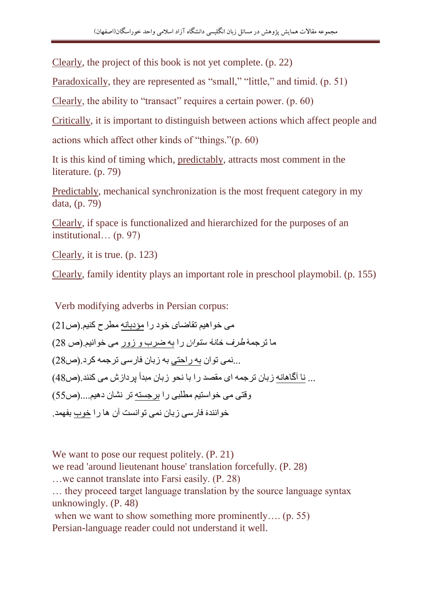Clearly, the project of this book is not yet complete. (p. 22)

Paradoxically, they are represented as "small," "little," and timid. (p. 51)

Clearly, the ability to "transact" requires a certain power. (p. 60)

Critically, it is important to distinguish between actions which affect people and

actions which affect other kinds of "things."(p. 60)

It is this kind of timing which, predictably, attracts most comment in the literature. (p. 79)

Predictably, mechanical synchronization is the most frequent category in my data, (p. 79)

Clearly, if space is functionalized and hierarchized for the purposes of an institutional… (p. 97)

Clearly, it is true. (p. 123)

Clearly, family identity plays an important role in preschool playmobil. (p. 155)

Verb modifying adverbs in Persian corpus:

مي خو اهيم تقاضياي خود را مؤديانه مطرح کنيم.(ص21) ما ترجمهٔ *طرف خانهٔ ستوان ر*ا به ضرب و زور مى خوانيم.(ص 28) ...نمی توان به راحتی به زبان فارسی ترجمه کرد.(ص28) ... نا آگاهانه ز بان تر جمه ای مقصد را با نحو ز بان مبدأ بر داز ش می کنند (ص48)  $(55)$ و فتی می خو استیم مطلبی را بر جسته تر نشان دهیم....(ص خوانندهٔ فارسی زبان نمی توانست آن ها را خوب بفهمد.

We want to pose our request politely.  $(P, 21)$ we read 'around lieutenant house' translation forcefully. (P. 28) …we cannot translate into Farsi easily. (P. 28) … they proceed target language translation by the source language syntax unknowingly. (P. 48) when we want to show something more prominently.... (p. 55) Persian-language reader could not understand it well.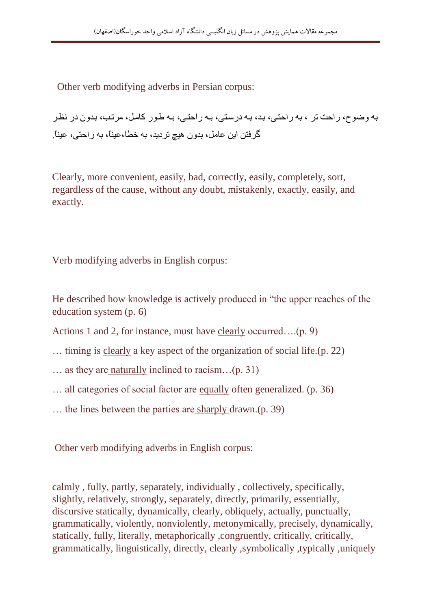Other verb modifying adverbs in Persian corpus:

به وضوح، راحت تر ، به راحتی، ید، یه درستی، یه راحتی، یه طور کامل، مرتب، یدون در نظر گر فتن این عامل، بدون هیچ تر دید، به خطا،عیناً، به راحتی، عیناً

Clearly, more convenient, easily, bad, correctly, easily, completely, sort, regardless of the cause, without any doubt, mistakenly, exactly, easily, and exactly.

Verb modifying adverbs in English corpus:

He described how knowledge is actively produced in "the upper reaches of the education system (p. 6)

Actions 1 and 2, for instance, must have clearly occurred….(p. 9)

… timing is clearly a key aspect of the organization of social life.(p. 22)

… as they are naturally inclined to racism…(p. 31)

… all categories of social factor are equally often generalized. (p. 36)

… the lines between the parties are sharply drawn.(p. 39)

Other verb modifying adverbs in English corpus:

calmly , fully, partly, separately, individually , collectively, specifically, slightly, relatively, strongly, separately, directly, primarily, essentially, discursive statically, dynamically, clearly, obliquely, actually, punctually, grammatically, violently, nonviolently, metonymically, precisely, dynamically, statically, fully, literally, metaphorically , congruently, critically, critically, grammatically, linguistically, directly, clearly ,symbolically ,typically ,uniquely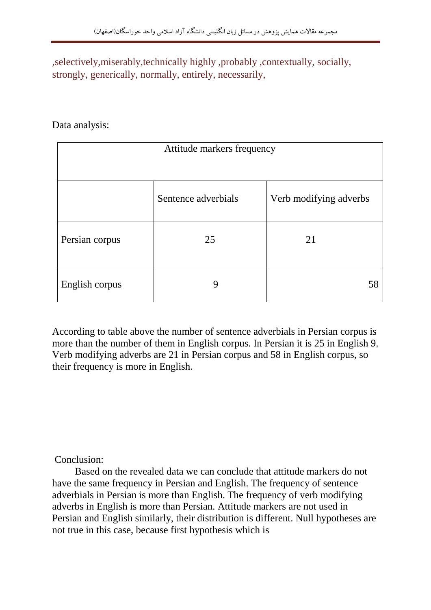,selectively,miserably,technically highly ,probably ,contextually, socially, strongly, generically, normally, entirely, necessarily,

## Data analysis:

| Attitude markers frequency |                     |                        |
|----------------------------|---------------------|------------------------|
|                            |                     |                        |
|                            | Sentence adverbials | Verb modifying adverbs |
| Persian corpus             | 25                  | 21                     |
| English corpus             | 9                   | 58                     |

According to table above the number of sentence adverbials in Persian corpus is more than the number of them in English corpus. In Persian it is 25 in English 9. Verb modifying adverbs are 21 in Persian corpus and 58 in English corpus, so their frequency is more in English.

Conclusion:

 Based on the revealed data we can conclude that attitude markers do not have the same frequency in Persian and English. The frequency of sentence adverbials in Persian is more than English. The frequency of verb modifying adverbs in English is more than Persian. Attitude markers are not used in Persian and English similarly, their distribution is different. Null hypotheses are not true in this case, because first hypothesis which is